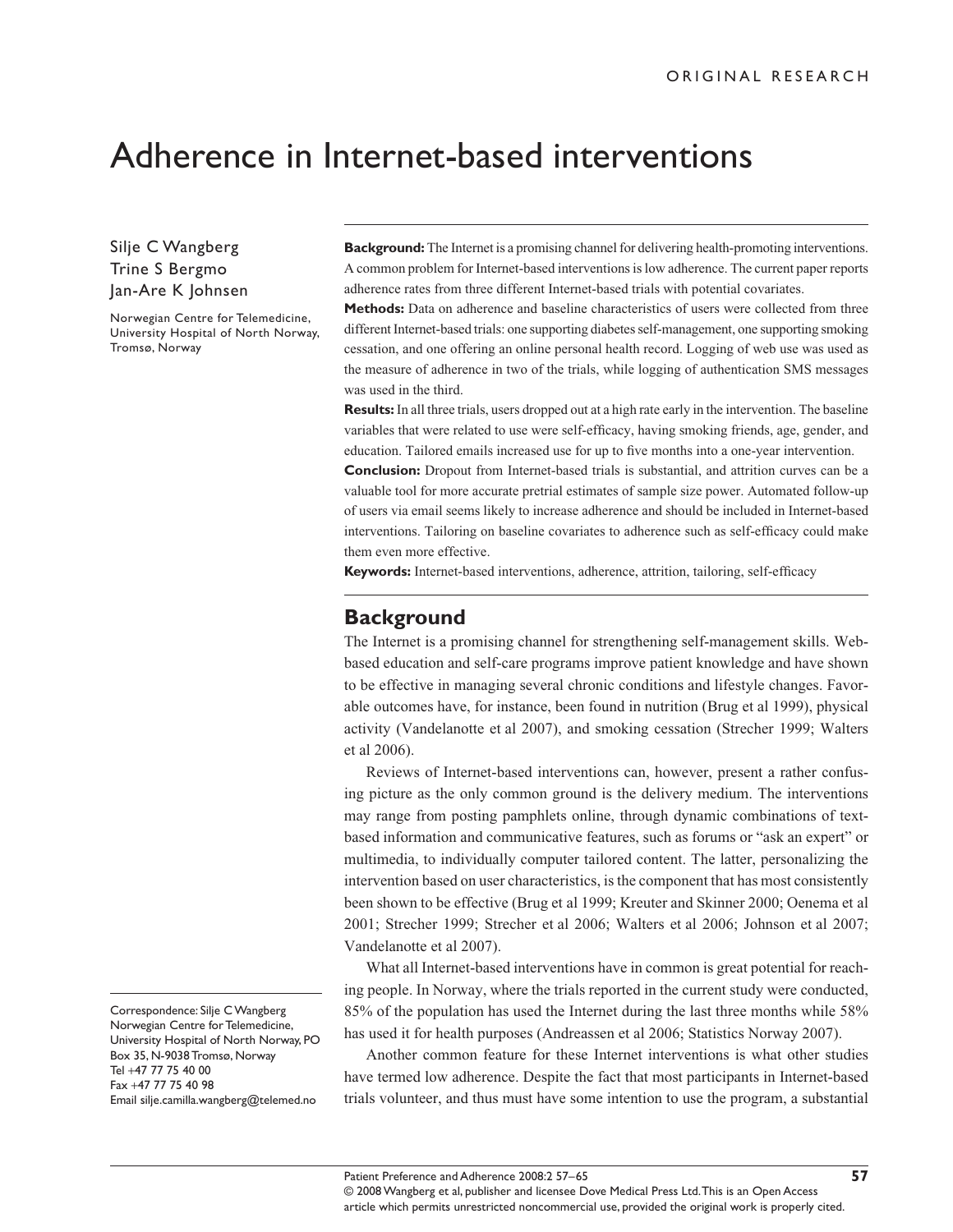# Adherence in Internet-based interventions

Silje C Wangberg Trine S Bergmo Jan-Are K Johnsen

Norwegian Centre for Telemedicine, University Hospital of North Norway, Tromsø, Norway

**Background:** The Internet is a promising channel for delivering health-promoting interventions. A common problem for Internet-based interventions is low adherence. The current paper reports adherence rates from three different Internet-based trials with potential covariates.

**Methods:** Data on adherence and baseline characteristics of users were collected from three different Internet-based trials: one supporting diabetes self-management, one supporting smoking cessation, and one offering an online personal health record. Logging of web use was used as the measure of adherence in two of the trials, while logging of authentication SMS messages was used in the third.

**Results:** In all three trials, users dropped out at a high rate early in the intervention. The baseline variables that were related to use were self-efficacy, having smoking friends, age, gender, and education. Tailored emails increased use for up to five months into a one-year intervention.

**Conclusion:** Dropout from Internet-based trials is substantial, and attrition curves can be a valuable tool for more accurate pretrial estimates of sample size power. Automated follow-up of users via email seems likely to increase adherence and should be included in Internet-based interventions. Tailoring on baseline covariates to adherence such as self-efficacy could make them even more effective.

**Keywords:** Internet-based interventions, adherence, attrition, tailoring, self-efficacy

#### **Background**

The Internet is a promising channel for strengthening self-management skills. Webbased education and self-care programs improve patient knowledge and have shown to be effective in managing several chronic conditions and lifestyle changes. Favorable outcomes have, for instance, been found in nutrition (Brug et al 1999), physical activity (Vandelanotte et al 2007), and smoking cessation (Strecher 1999; Walters et al 2006).

Reviews of Internet-based interventions can, however, present a rather confusing picture as the only common ground is the delivery medium. The interventions may range from posting pamphlets online, through dynamic combinations of textbased information and communicative features, such as forums or "ask an expert" or multimedia, to individually computer tailored content. The latter, personalizing the intervention based on user characteristics, is the component that has most consistently been shown to be effective (Brug et al 1999; Kreuter and Skinner 2000; Oenema et al 2001; Strecher 1999; Strecher et al 2006; Walters et al 2006; Johnson et al 2007; Vandelanotte et al 2007).

What all Internet-based interventions have in common is great potential for reaching people. In Norway, where the trials reported in the current study were conducted, 85% of the population has used the Internet during the last three months while 58% has used it for health purposes (Andreassen et al 2006; Statistics Norway 2007).

Another common feature for these Internet interventions is what other studies have termed low adherence. Despite the fact that most participants in Internet-based trials volunteer, and thus must have some intention to use the program, a substantial

Correspondence: Silje C Wangberg Norwegian Centre for Telemedicine, University Hospital of North Norway, PO Box 35, N-9038 Tromsø, Norway Tel +47 77 75 40 00 Fax +47 77 75 40 98 Email silje.camilla.wangberg@telemed.no

<sup>© 2008</sup> Wangberg et al, publisher and licensee Dove Medical Press Ltd. This is an Open Access article which permits unrestricted noncommercial use, provided the original work is properly cited.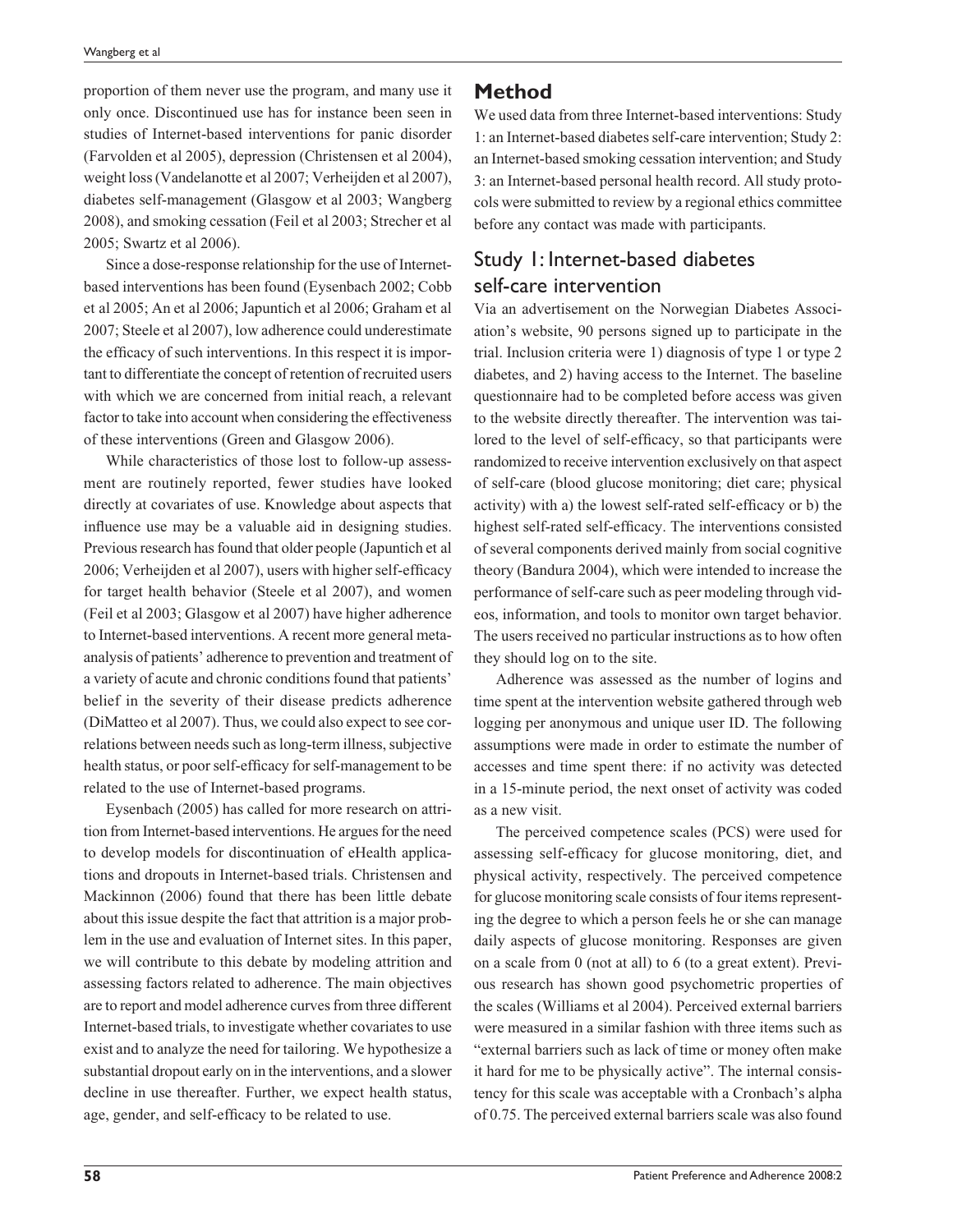proportion of them never use the program, and many use it only once. Discontinued use has for instance been seen in studies of Internet-based interventions for panic disorder (Farvolden et al 2005), depression (Christensen et al 2004), weight loss (Vandelanotte et al 2007; Verheijden et al 2007), diabetes self-management (Glasgow et al 2003; Wangberg 2008), and smoking cessation (Feil et al 2003; Strecher et al 2005; Swartz et al 2006).

Since a dose-response relationship for the use of Internetbased interventions has been found (Eysenbach 2002; Cobb et al 2005; An et al 2006; Japuntich et al 2006; Graham et al 2007; Steele et al 2007), low adherence could underestimate the efficacy of such interventions. In this respect it is important to differentiate the concept of retention of recruited users with which we are concerned from initial reach, a relevant factor to take into account when considering the effectiveness of these interventions (Green and Glasgow 2006).

While characteristics of those lost to follow-up assessment are routinely reported, fewer studies have looked directly at covariates of use. Knowledge about aspects that influence use may be a valuable aid in designing studies. Previous research has found that older people (Japuntich et al 2006; Verheijden et al 2007), users with higher self-efficacy for target health behavior (Steele et al 2007), and women (Feil et al 2003; Glasgow et al 2007) have higher adherence to Internet-based interventions. A recent more general metaanalysis of patients' adherence to prevention and treatment of a variety of acute and chronic conditions found that patients' belief in the severity of their disease predicts adherence (DiMatteo et al 2007). Thus, we could also expect to see correlations between needs such as long-term illness, subjective health status, or poor self-efficacy for self-management to be related to the use of Internet-based programs.

Eysenbach (2005) has called for more research on attrition from Internet-based interventions. He argues for the need to develop models for discontinuation of eHealth applications and dropouts in Internet-based trials. Christensen and Mackinnon (2006) found that there has been little debate about this issue despite the fact that attrition is a major problem in the use and evaluation of Internet sites. In this paper, we will contribute to this debate by modeling attrition and assessing factors related to adherence. The main objectives are to report and model adherence curves from three different Internet-based trials, to investigate whether covariates to use exist and to analyze the need for tailoring. We hypothesize a substantial dropout early on in the interventions, and a slower decline in use thereafter. Further, we expect health status, age, gender, and self-efficacy to be related to use.

## **Method**

We used data from three Internet-based interventions: Study 1: an Internet-based diabetes self-care intervention; Study 2: an Internet-based smoking cessation intervention; and Study 3: an Internet-based personal health record. All study protocols were submitted to review by a regional ethics committee before any contact was made with participants.

## Study 1: Internet-based diabetes self-care intervention

Via an advertisement on the Norwegian Diabetes Association's website, 90 persons signed up to participate in the trial. Inclusion criteria were 1) diagnosis of type 1 or type 2 diabetes, and 2) having access to the Internet. The baseline questionnaire had to be completed before access was given to the website directly thereafter. The intervention was tailored to the level of self-efficacy, so that participants were randomized to receive intervention exclusively on that aspect of self-care (blood glucose monitoring; diet care; physical activity) with a) the lowest self-rated self-efficacy or b) the highest self-rated self-efficacy. The interventions consisted of several components derived mainly from social cognitive theory (Bandura 2004), which were intended to increase the performance of self-care such as peer modeling through videos, information, and tools to monitor own target behavior. The users received no particular instructions as to how often they should log on to the site.

Adherence was assessed as the number of logins and time spent at the intervention website gathered through web logging per anonymous and unique user ID. The following assumptions were made in order to estimate the number of accesses and time spent there: if no activity was detected in a 15-minute period, the next onset of activity was coded as a new visit.

The perceived competence scales (PCS) were used for assessing self-efficacy for glucose monitoring, diet, and physical activity, respectively. The perceived competence for glucose monitoring scale consists of four items representing the degree to which a person feels he or she can manage daily aspects of glucose monitoring. Responses are given on a scale from 0 (not at all) to 6 (to a great extent). Previous research has shown good psychometric properties of the scales (Williams et al 2004). Perceived external barriers were measured in a similar fashion with three items such as "external barriers such as lack of time or money often make it hard for me to be physically active". The internal consistency for this scale was acceptable with a Cronbach's alpha of 0.75. The perceived external barriers scale was also found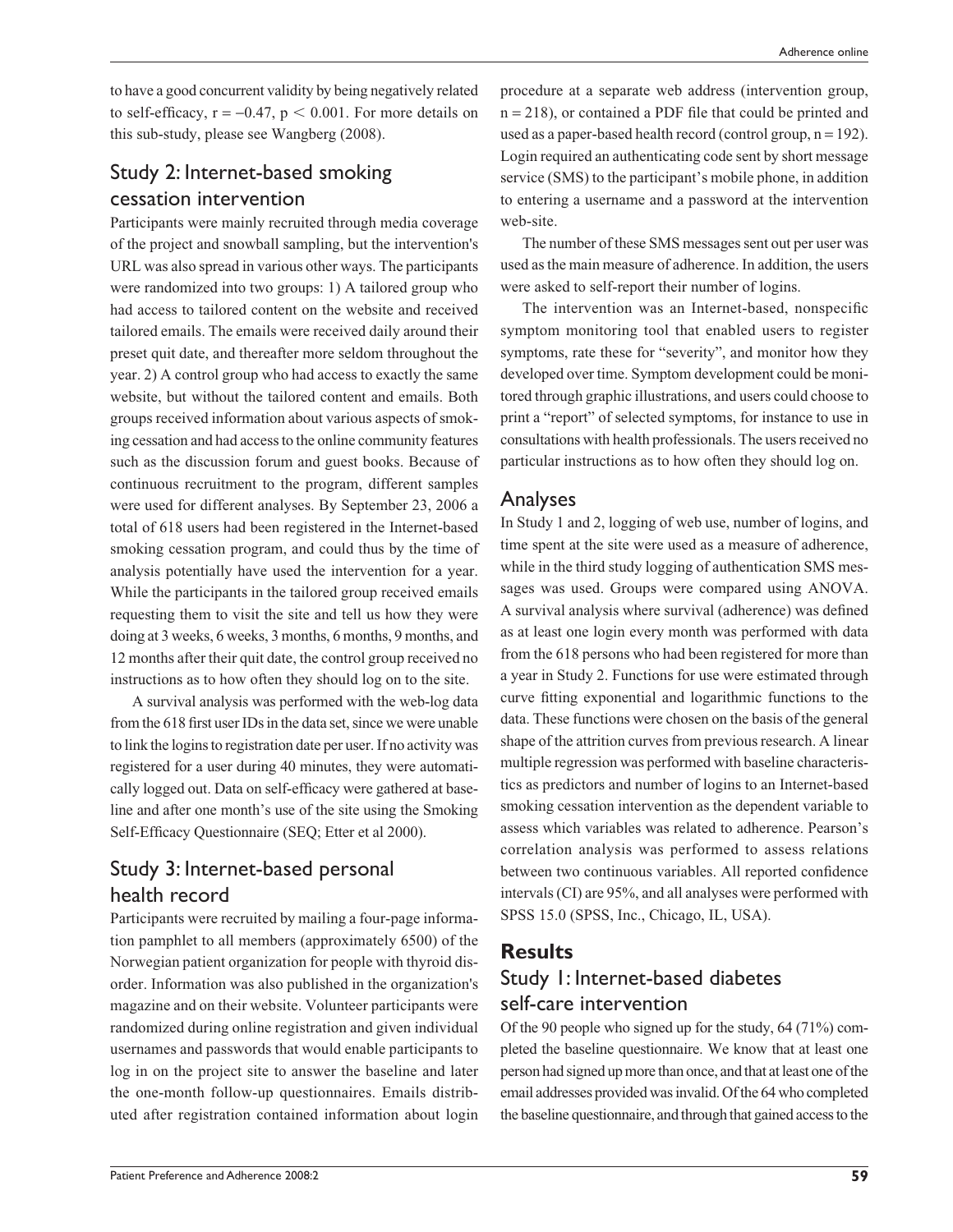to have a good concurrent validity by being negatively related to self-efficacy,  $r = -0.47$ ,  $p < 0.001$ . For more details on this sub-study, please see Wangberg (2008).

## Study 2: Internet-based smoking cessation intervention

Participants were mainly recruited through media coverage of the project and snowball sampling, but the intervention's URL was also spread in various other ways. The participants were randomized into two groups: 1) A tailored group who had access to tailored content on the website and received tailored emails. The emails were received daily around their preset quit date, and thereafter more seldom throughout the year. 2) A control group who had access to exactly the same website, but without the tailored content and emails. Both groups received information about various aspects of smoking cessation and had access to the online community features such as the discussion forum and guest books. Because of continuous recruitment to the program, different samples were used for different analyses. By September 23, 2006 a total of 618 users had been registered in the Internet-based smoking cessation program, and could thus by the time of analysis potentially have used the intervention for a year. While the participants in the tailored group received emails requesting them to visit the site and tell us how they were doing at 3 weeks, 6 weeks, 3 months, 6 months, 9 months, and 12 months after their quit date, the control group received no instructions as to how often they should log on to the site.

A survival analysis was performed with the web-log data from the 618 first user IDs in the data set, since we were unable to link the logins to registration date per user. If no activity was registered for a user during 40 minutes, they were automatically logged out. Data on self-efficacy were gathered at baseline and after one month's use of the site using the Smoking Self-Efficacy Questionnaire (SEQ; Etter et al 2000).

## Study 3: Internet-based personal health record

Participants were recruited by mailing a four-page information pamphlet to all members (approximately 6500) of the Norwegian patient organization for people with thyroid disorder. Information was also published in the organization's magazine and on their website. Volunteer participants were randomized during online registration and given individual usernames and passwords that would enable participants to log in on the project site to answer the baseline and later the one-month follow-up questionnaires. Emails distributed after registration contained information about login procedure at a separate web address (intervention group,  $n = 218$ , or contained a PDF file that could be printed and used as a paper-based health record (control group,  $n = 192$ ). Login required an authenticating code sent by short message service (SMS) to the participant's mobile phone, in addition to entering a username and a password at the intervention web-site.

The number of these SMS messages sent out per user was used as the main measure of adherence. In addition, the users were asked to self-report their number of logins.

The intervention was an Internet-based, nonspecific symptom monitoring tool that enabled users to register symptoms, rate these for "severity", and monitor how they developed over time. Symptom development could be monitored through graphic illustrations, and users could choose to print a "report" of selected symptoms, for instance to use in consultations with health professionals. The users received no particular instructions as to how often they should log on.

## Analyses

In Study 1 and 2, logging of web use, number of logins, and time spent at the site were used as a measure of adherence, while in the third study logging of authentication SMS messages was used. Groups were compared using ANOVA. A survival analysis where survival (adherence) was defined as at least one login every month was performed with data from the 618 persons who had been registered for more than a year in Study 2. Functions for use were estimated through curve fitting exponential and logarithmic functions to the data. These functions were chosen on the basis of the general shape of the attrition curves from previous research. A linear multiple regression was performed with baseline characteristics as predictors and number of logins to an Internet-based smoking cessation intervention as the dependent variable to assess which variables was related to adherence. Pearson's correlation analysis was performed to assess relations between two continuous variables. All reported confidence intervals (CI) are 95%, and all analyses were performed with SPSS 15.0 (SPSS, Inc., Chicago, IL, USA).

### **Results**

## Study 1: Internet-based diabetes self-care intervention

Of the 90 people who signed up for the study, 64 (71%) completed the baseline questionnaire. We know that at least one person had signed up more than once, and that at least one of the email addresses provided was invalid. Of the 64 who completed the baseline questionnaire, and through that gained access to the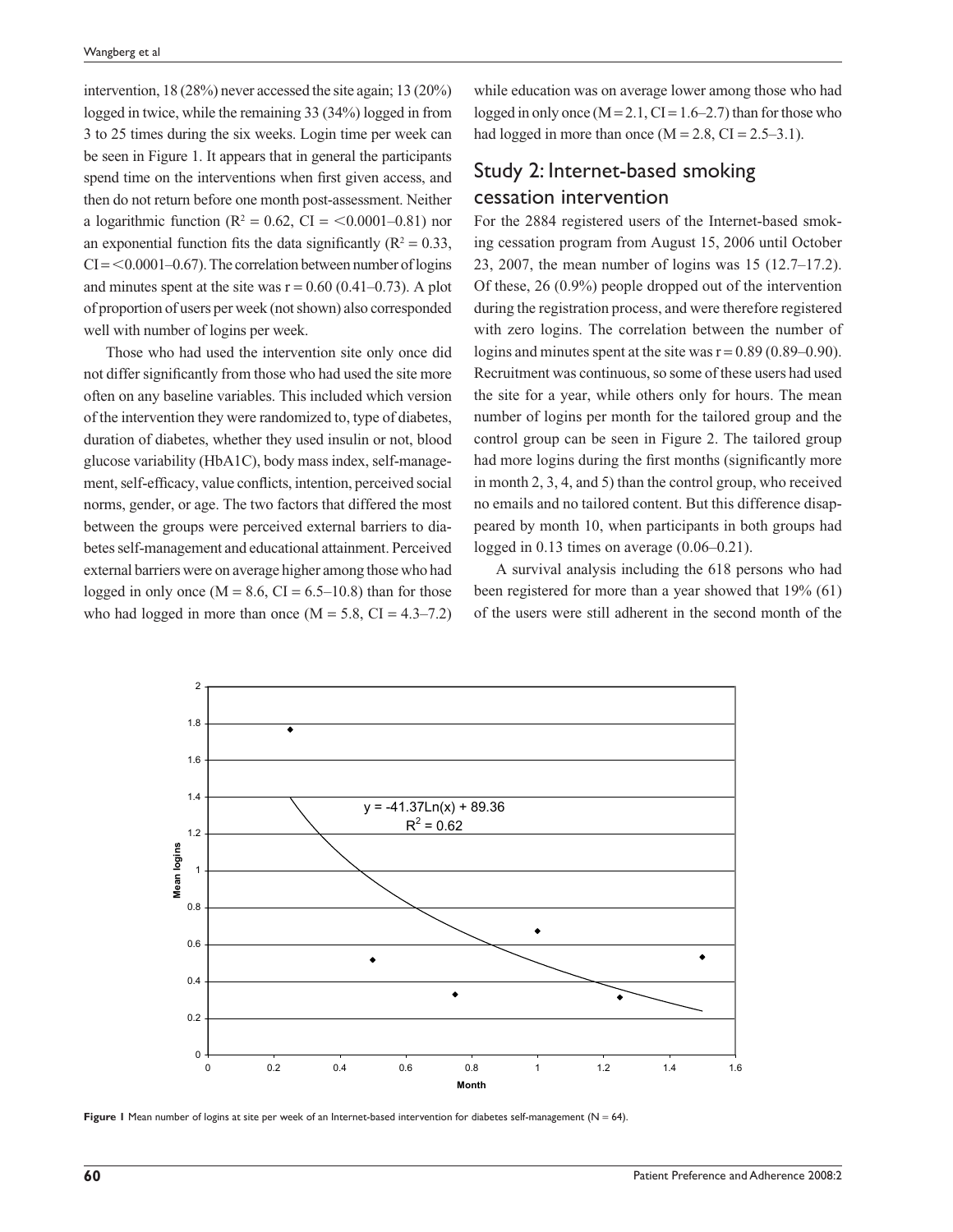intervention, 18 (28%) never accessed the site again; 13 (20%) logged in twice, while the remaining 33 (34%) logged in from 3 to 25 times during the six weeks. Login time per week can be seen in Figure 1. It appears that in general the participants spend time on the interventions when first given access, and then do not return before one month post-assessment. Neither a logarithmic function ( $R^2 = 0.62$ , CI = <0.0001–0.81) nor an exponential function fits the data significantly ( $R^2 = 0.33$ ,  $CI = < 0.0001 - 0.67$ . The correlation between number of logins and minutes spent at the site was  $r = 0.60$  (0.41–0.73). A plot of proportion of users per week (not shown) also corresponded well with number of logins per week.

Those who had used the intervention site only once did not differ significantly from those who had used the site more often on any baseline variables. This included which version of the intervention they were randomized to, type of diabetes, duration of diabetes, whether they used insulin or not, blood glucose variability (HbA1C), body mass index, self-management, self-efficacy, value conflicts, intention, perceived social norms, gender, or age. The two factors that differed the most between the groups were perceived external barriers to diabetes self-management and educational attainment. Perceived external barriers were on average higher among those who had logged in only once  $(M = 8.6, CI = 6.5{\text -}10.8)$  than for those who had logged in more than once  $(M = 5.8, CI = 4.3–7.2)$ 

while education was on average lower among those who had logged in only once  $(M = 2.1, CI = 1.6 - 2.7)$  than for those who had logged in more than once  $(M = 2.8, CI = 2.5-3.1)$ .

## Study 2: Internet-based smoking cessation intervention

For the 2884 registered users of the Internet-based smoking cessation program from August 15, 2006 until October 23, 2007, the mean number of logins was 15 (12.7–17.2). Of these, 26 (0.9%) people dropped out of the intervention during the registration process, and were therefore registered with zero logins. The correlation between the number of logins and minutes spent at the site was  $r = 0.89$  (0.89–0.90). Recruitment was continuous, so some of these users had used the site for a year, while others only for hours. The mean number of logins per month for the tailored group and the control group can be seen in Figure 2. The tailored group had more logins during the first months (significantly more in month 2, 3, 4, and 5) than the control group, who received no emails and no tailored content. But this difference disappeared by month 10, when participants in both groups had logged in 0.13 times on average (0.06–0.21).

A survival analysis including the 618 persons who had been registered for more than a year showed that 19% (61) of the users were still adherent in the second month of the



Figure 1 Mean number of logins at site per week of an Internet-based intervention for diabetes self-management (N = 64).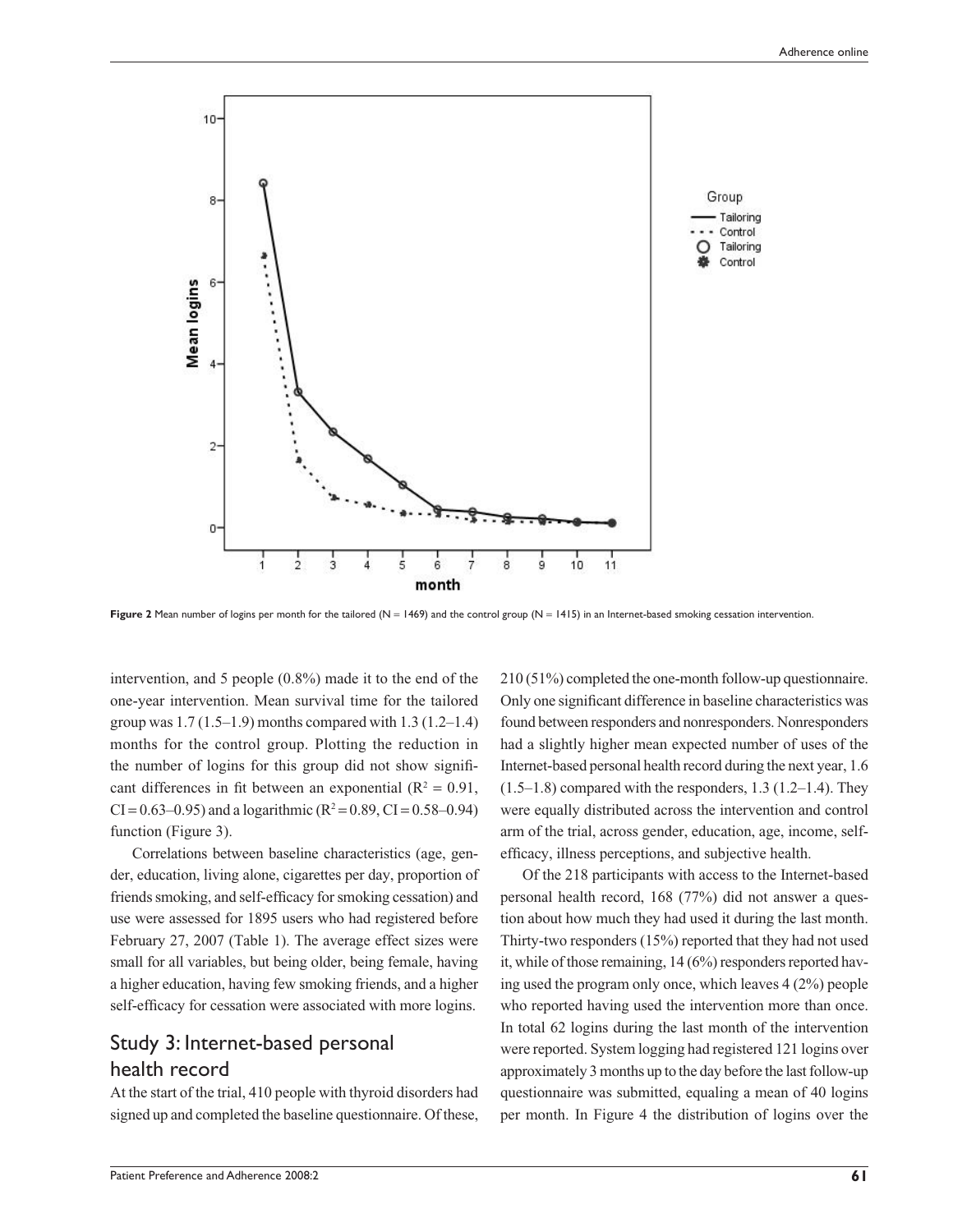

Figure 2 Mean number of logins per month for the tailored (N = 1469) and the control group (N = 1415) in an Internet-based smoking cessation intervention.

intervention, and 5 people (0.8%) made it to the end of the one-year intervention. Mean survival time for the tailored group was  $1.7(1.5-1.9)$  months compared with  $1.3(1.2-1.4)$ months for the control group. Plotting the reduction in the number of logins for this group did not show significant differences in fit between an exponential ( $R^2 = 0.91$ ,  $CI = 0.63 - 0.95$ ) and a logarithmic ( $R^2 = 0.89$ ,  $CI = 0.58 - 0.94$ ) function (Figure 3).

Correlations between baseline characteristics (age, gender, education, living alone, cigarettes per day, proportion of friends smoking, and self-efficacy for smoking cessation) and use were assessed for 1895 users who had registered before February 27, 2007 (Table 1). The average effect sizes were small for all variables, but being older, being female, having a higher education, having few smoking friends, and a higher self-efficacy for cessation were associated with more logins.

## Study 3: Internet-based personal health record

At the start of the trial, 410 people with thyroid disorders had signed up and completed the baseline questionnaire. Of these,

210 (51%) completed the one-month follow-up questionnaire. Only one significant difference in baseline characteristics was found between responders and nonresponders. Nonresponders had a slightly higher mean expected number of uses of the Internet-based personal health record during the next year, 1.6  $(1.5–1.8)$  compared with the responders,  $1.3$   $(1.2–1.4)$ . They were equally distributed across the intervention and control arm of the trial, across gender, education, age, income, selfefficacy, illness perceptions, and subjective health.

Of the 218 participants with access to the Internet-based personal health record, 168 (77%) did not answer a question about how much they had used it during the last month. Thirty-two responders (15%) reported that they had not used it, while of those remaining, 14 (6%) responders reported having used the program only once, which leaves 4 (2%) people who reported having used the intervention more than once. In total 62 logins during the last month of the intervention were reported. System logging had registered 121 logins over approximately 3 months up to the day before the last follow-up questionnaire was submitted, equaling a mean of 40 logins per month. In Figure 4 the distribution of logins over the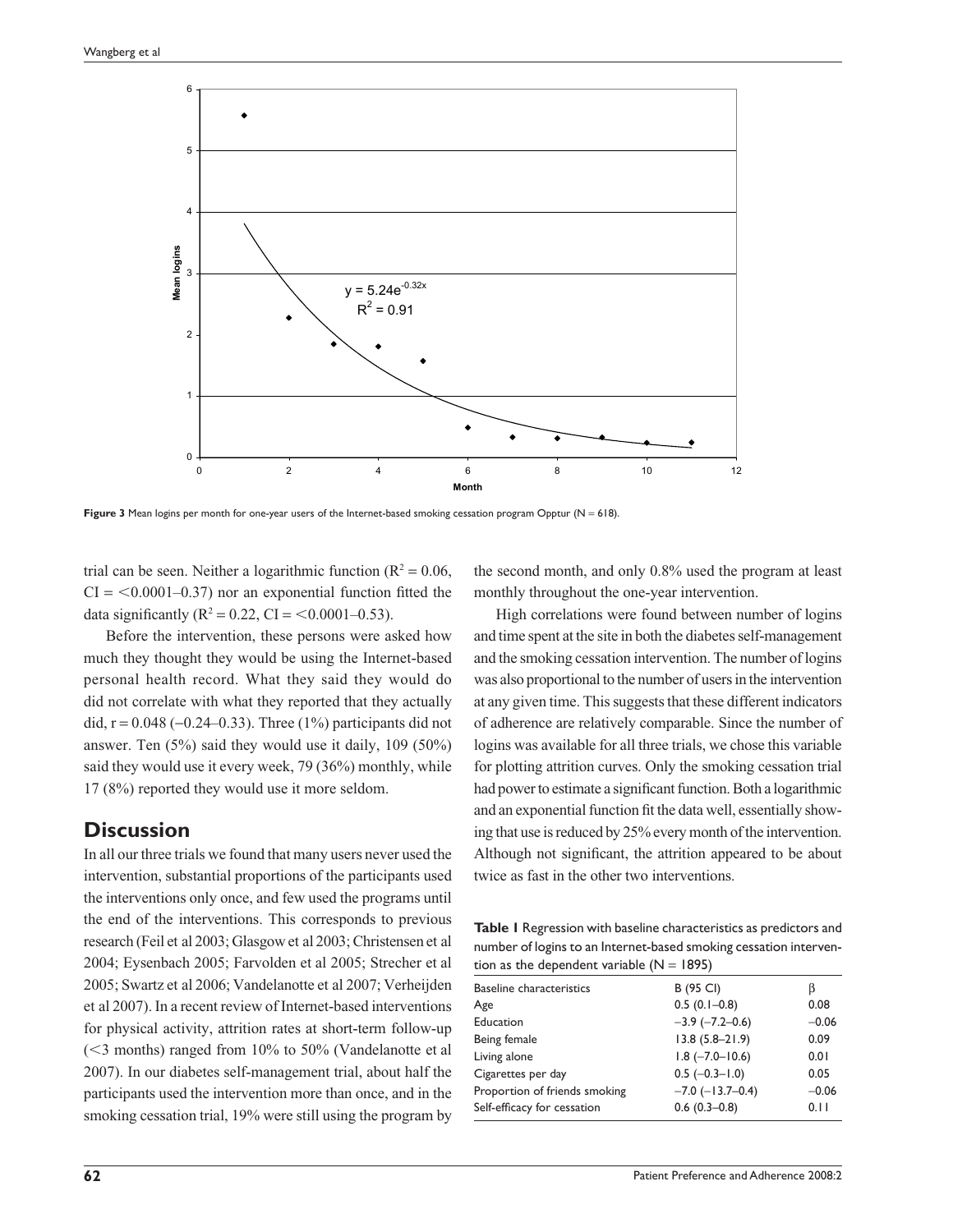

Figure 3 Mean logins per month for one-year users of the Internet-based smoking cessation program Opptur (N = 618).

trial can be seen. Neither a logarithmic function ( $R^2 = 0.06$ ,  $CI = <0.0001-0.37$  nor an exponential function fitted the data significantly ( $R^2 = 0.22$ , CI = <0.0001–0.53).

Before the intervention, these persons were asked how much they thought they would be using the Internet-based personal health record. What they said they would do did not correlate with what they reported that they actually did,  $r = 0.048 (-0.24 - 0.33)$ . Three (1%) participants did not answer. Ten (5%) said they would use it daily, 109 (50%) said they would use it every week, 79 (36%) monthly, while 17 (8%) reported they would use it more seldom.

#### **Discussion**

In all our three trials we found that many users never used the intervention, substantial proportions of the participants used the interventions only once, and few used the programs until the end of the interventions. This corresponds to previous research (Feil et al 2003; Glasgow et al 2003; Christensen et al 2004; Eysenbach 2005; Farvolden et al 2005; Strecher et al 2005; Swartz et al 2006; Vandelanotte et al 2007; Verheijden et al 2007). In a recent review of Internet-based interventions for physical activity, attrition rates at short-term follow-up (3 months) ranged from 10% to 50% (Vandelanotte et al 2007). In our diabetes self-management trial, about half the participants used the intervention more than once, and in the smoking cessation trial, 19% were still using the program by the second month, and only 0.8% used the program at least monthly throughout the one-year intervention.

High correlations were found between number of logins and time spent at the site in both the diabetes self-management and the smoking cessation intervention. The number of logins was also proportional to the number of users in the intervention at any given time. This suggests that these different indicators of adherence are relatively comparable. Since the number of logins was available for all three trials, we chose this variable for plotting attrition curves. Only the smoking cessation trial had power to estimate a significant function. Both a logarithmic and an exponential function fit the data well, essentially showing that use is reduced by 25% every month of the intervention. Although not significant, the attrition appeared to be about twice as fast in the other two interventions.

**Table 1** Regression with baseline characteristics as predictors and number of logins to an Internet-based smoking cessation intervention as the dependent variable  $(N = 1895)$ 

| $\frac{1}{2}$ . The state of the state is the state of $\frac{1}{2}$ . The state is the state of the state of the state of the state of the state of the state of the state of the state of the state of the state of the state of th |                          |         |
|---------------------------------------------------------------------------------------------------------------------------------------------------------------------------------------------------------------------------------------|--------------------------|---------|
| <b>Baseline characteristics</b>                                                                                                                                                                                                       | B (95 CI)                | ß       |
| Age                                                                                                                                                                                                                                   | $0.5(0.1-0.8)$           | 0.08    |
| Education                                                                                                                                                                                                                             | $-3.9$ $(-7.2 - 0.6)$    | $-0.06$ |
| Being female                                                                                                                                                                                                                          | $13.8(5.8 - 21.9)$       | 0.09    |
| Living alone                                                                                                                                                                                                                          | $1.8$ ( $-7.0$ $-10.6$ ) | 0.01    |
| Cigarettes per day                                                                                                                                                                                                                    | $0.5$ (-0.3-1.0)         | 0.05    |
| Proportion of friends smoking                                                                                                                                                                                                         | $-7.0$ ( $-13.7-0.4$ )   | $-0.06$ |
| Self-efficacy for cessation                                                                                                                                                                                                           | $0.6(0.3-0.8)$           | 0.11    |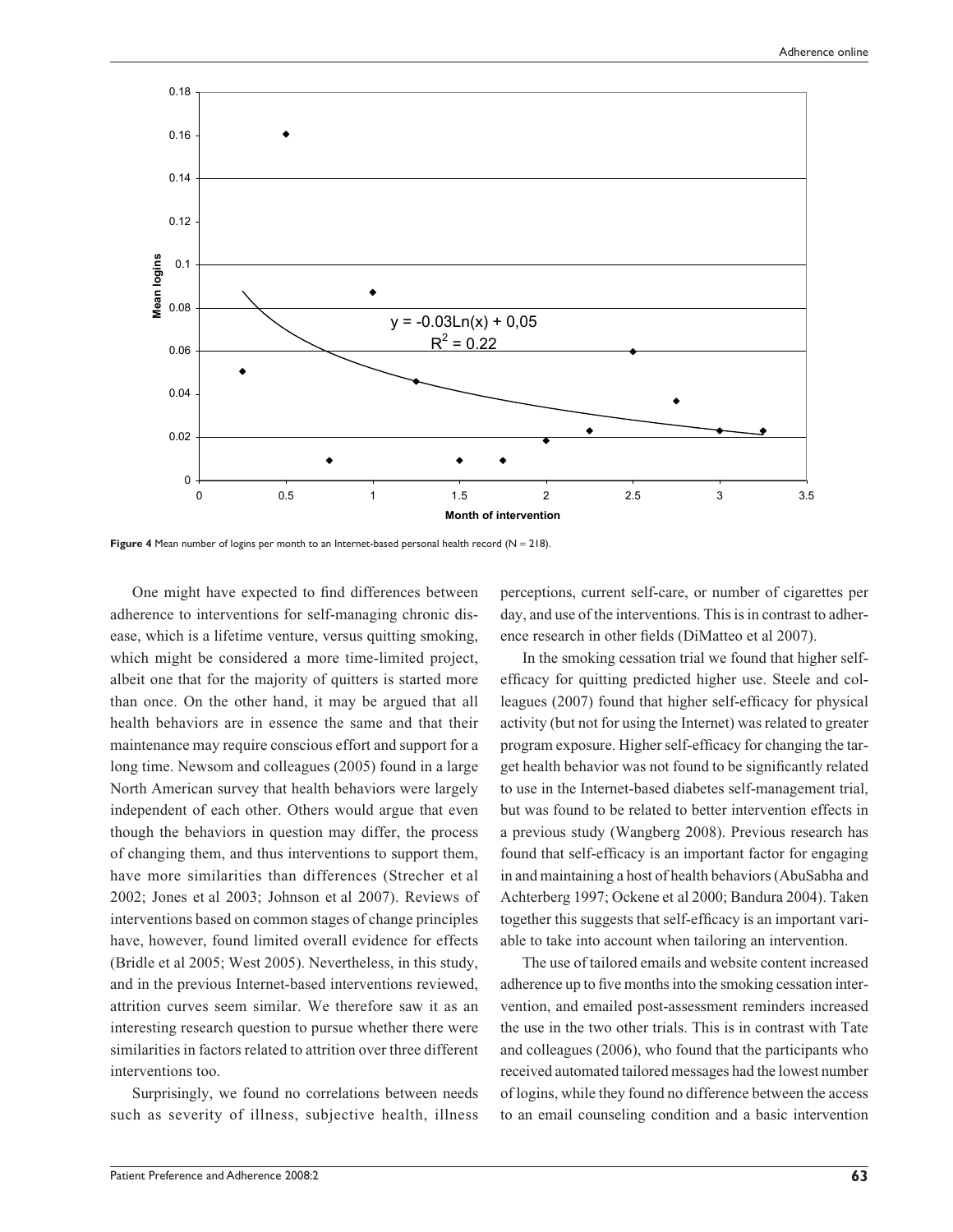

Figure 4 Mean number of logins per month to an Internet-based personal health record (N = 218).

One might have expected to find differences between adherence to interventions for self-managing chronic disease, which is a lifetime venture, versus quitting smoking, which might be considered a more time-limited project, albeit one that for the majority of quitters is started more than once. On the other hand, it may be argued that all health behaviors are in essence the same and that their maintenance may require conscious effort and support for a long time. Newsom and colleagues (2005) found in a large North American survey that health behaviors were largely independent of each other. Others would argue that even though the behaviors in question may differ, the process of changing them, and thus interventions to support them, have more similarities than differences (Strecher et al 2002; Jones et al 2003; Johnson et al 2007). Reviews of interventions based on common stages of change principles have, however, found limited overall evidence for effects (Bridle et al 2005; West 2005). Nevertheless, in this study, and in the previous Internet-based interventions reviewed, attrition curves seem similar. We therefore saw it as an interesting research question to pursue whether there were similarities in factors related to attrition over three different interventions too.

Surprisingly, we found no correlations between needs such as severity of illness, subjective health, illness perceptions, current self-care, or number of cigarettes per day, and use of the interventions. This is in contrast to adherence research in other fields (DiMatteo et al 2007).

In the smoking cessation trial we found that higher selfefficacy for quitting predicted higher use. Steele and colleagues (2007) found that higher self-efficacy for physical activity (but not for using the Internet) was related to greater program exposure. Higher self-efficacy for changing the target health behavior was not found to be significantly related to use in the Internet-based diabetes self-management trial, but was found to be related to better intervention effects in a previous study (Wangberg 2008). Previous research has found that self-efficacy is an important factor for engaging in and maintaining a host of health behaviors (AbuSabha and Achterberg 1997; Ockene et al 2000; Bandura 2004). Taken together this suggests that self-efficacy is an important variable to take into account when tailoring an intervention.

The use of tailored emails and website content increased adherence up to five months into the smoking cessation intervention, and emailed post-assessment reminders increased the use in the two other trials. This is in contrast with Tate and colleagues (2006), who found that the participants who received automated tailored messages had the lowest number of logins, while they found no difference between the access to an email counseling condition and a basic intervention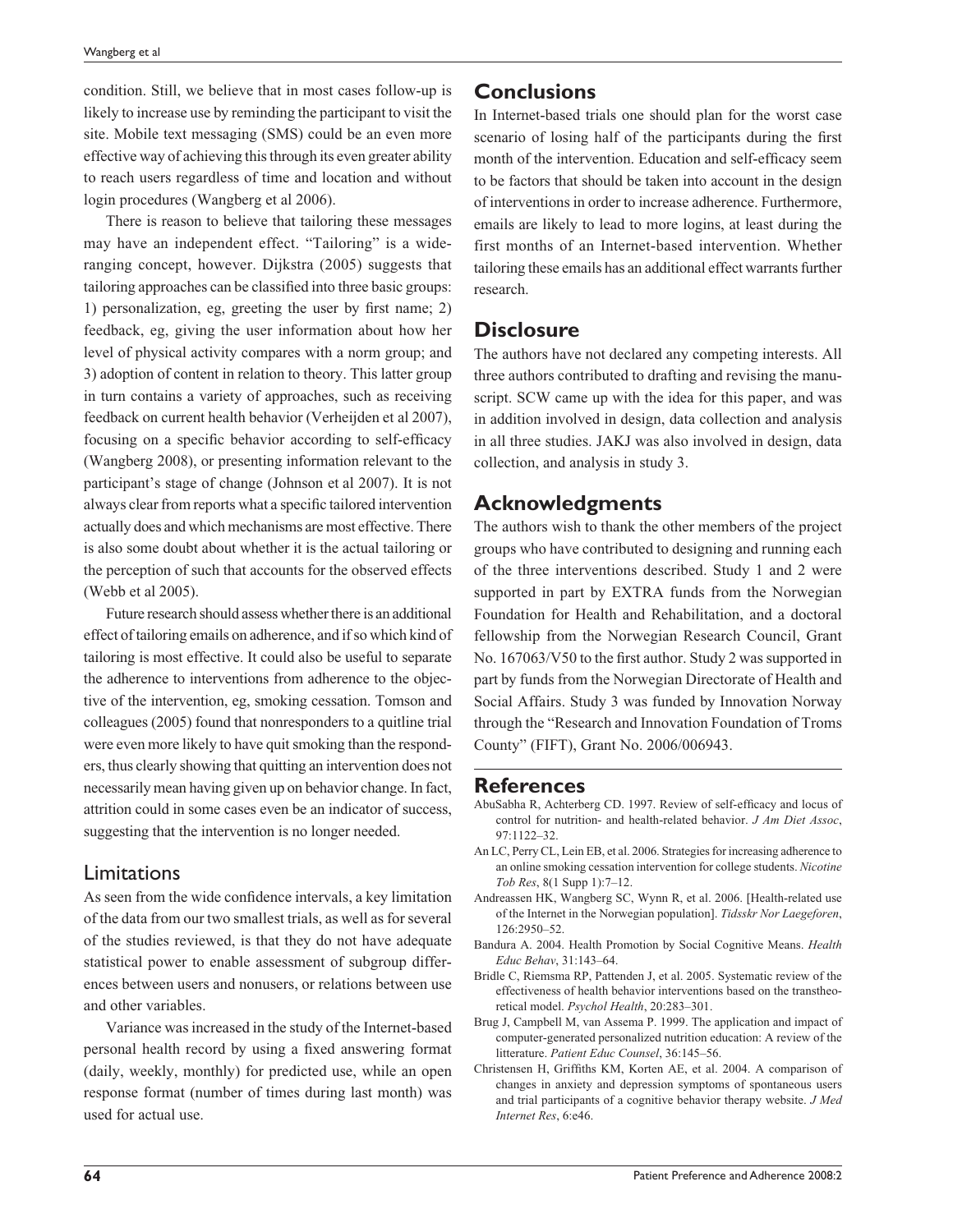condition. Still, we believe that in most cases follow-up is likely to increase use by reminding the participant to visit the site. Mobile text messaging (SMS) could be an even more effective way of achieving this through its even greater ability to reach users regardless of time and location and without login procedures (Wangberg et al 2006).

There is reason to believe that tailoring these messages may have an independent effect. "Tailoring" is a wideranging concept, however. Dijkstra (2005) suggests that tailoring approaches can be classified into three basic groups: 1) personalization, eg, greeting the user by first name; 2) feedback, eg, giving the user information about how her level of physical activity compares with a norm group; and 3) adoption of content in relation to theory. This latter group in turn contains a variety of approaches, such as receiving feedback on current health behavior (Verheijden et al 2007), focusing on a specific behavior according to self-efficacy (Wangberg 2008), or presenting information relevant to the participant's stage of change (Johnson et al 2007). It is not always clear from reports what a specific tailored intervention actually does and which mechanisms are most effective. There is also some doubt about whether it is the actual tailoring or the perception of such that accounts for the observed effects (Webb et al 2005).

Future research should assess whether there is an additional effect of tailoring emails on adherence, and if so which kind of tailoring is most effective. It could also be useful to separate the adherence to interventions from adherence to the objective of the intervention, eg, smoking cessation. Tomson and colleagues (2005) found that nonresponders to a quitline trial were even more likely to have quit smoking than the responders, thus clearly showing that quitting an intervention does not necessarily mean having given up on behavior change. In fact, attrition could in some cases even be an indicator of success, suggesting that the intervention is no longer needed.

#### Limitations

As seen from the wide confidence intervals, a key limitation of the data from our two smallest trials, as well as for several of the studies reviewed, is that they do not have adequate statistical power to enable assessment of subgroup differences between users and nonusers, or relations between use and other variables.

Variance was increased in the study of the Internet-based personal health record by using a fixed answering format (daily, weekly, monthly) for predicted use, while an open response format (number of times during last month) was used for actual use.

## **Conclusions**

In Internet-based trials one should plan for the worst case scenario of losing half of the participants during the first month of the intervention. Education and self-efficacy seem to be factors that should be taken into account in the design of interventions in order to increase adherence. Furthermore, emails are likely to lead to more logins, at least during the first months of an Internet-based intervention. Whether tailoring these emails has an additional effect warrants further research.

### **Disclosure**

The authors have not declared any competing interests. All three authors contributed to drafting and revising the manuscript. SCW came up with the idea for this paper, and was in addition involved in design, data collection and analysis in all three studies. JAKJ was also involved in design, data collection, and analysis in study 3.

## **Acknowledgments**

The authors wish to thank the other members of the project groups who have contributed to designing and running each of the three interventions described. Study 1 and 2 were supported in part by EXTRA funds from the Norwegian Foundation for Health and Rehabilitation, and a doctoral fellowship from the Norwegian Research Council, Grant No. 167063/V50 to the first author. Study 2 was supported in part by funds from the Norwegian Directorate of Health and Social Affairs. Study 3 was funded by Innovation Norway through the "Research and Innovation Foundation of Troms County" (FIFT), Grant No. 2006/006943.

### **References**

- AbuSabha R, Achterberg CD. 1997. Review of self-efficacy and locus of control for nutrition- and health-related behavior. *J Am Diet Assoc*, 97:1122–32.
- An LC, Perry CL, Lein EB, et al. 2006. Strategies for increasing adherence to an online smoking cessation intervention for college students. *Nicotine Tob Res*, 8(1 Supp 1):7–12.
- Andreassen HK, Wangberg SC, Wynn R, et al. 2006. [Health-related use of the Internet in the Norwegian population]. *Tidsskr Nor Laegeforen*, 126:2950–52.
- Bandura A. 2004. Health Promotion by Social Cognitive Means. *Health Educ Behav*, 31:143–64.
- Bridle C, Riemsma RP, Pattenden J, et al. 2005. Systematic review of the effectiveness of health behavior interventions based on the transtheoretical model. *Psychol Health*, 20:283–301.
- Brug J, Campbell M, van Assema P. 1999. The application and impact of computer-generated personalized nutrition education: A review of the litterature. *Patient Educ Counsel*, 36:145–56.
- Christensen H, Griffiths KM, Korten AE, et al. 2004. A comparison of changes in anxiety and depression symptoms of spontaneous users and trial participants of a cognitive behavior therapy website. *J Med Internet Res*, 6:e46.